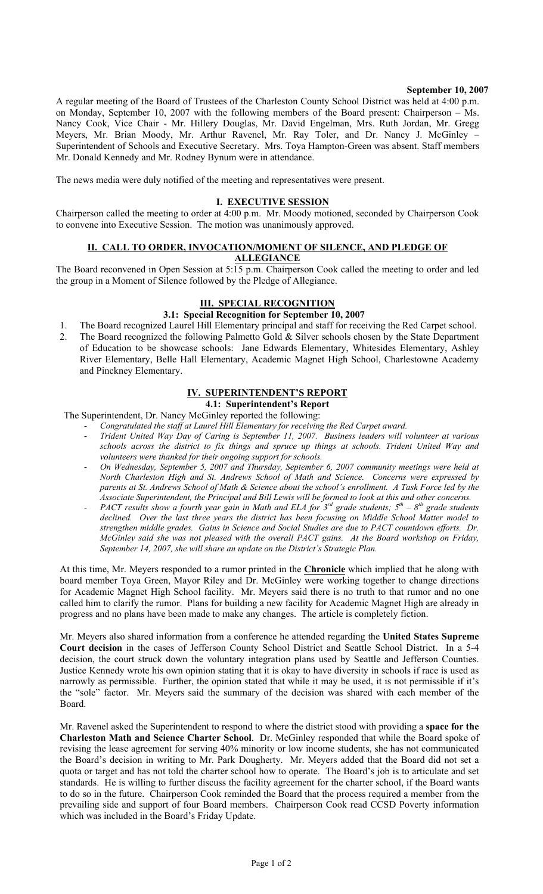#### **September 10, 2007**

A regular meeting of the Board of Trustees of the Charleston County School District was held at 4:00 p.m. on Monday, September 10, 2007 with the following members of the Board present: Chairperson – Ms. Nancy Cook, Vice Chair - Mr. Hillery Douglas, Mr. David Engelman, Mrs. Ruth Jordan, Mr. Gregg Meyers, Mr. Brian Moody, Mr. Arthur Ravenel, Mr. Ray Toler, and Dr. Nancy J. McGinley – Superintendent of Schools and Executive Secretary. Mrs. Toya Hampton-Green was absent. Staff members Mr. Donald Kennedy and Mr. Rodney Bynum were in attendance.

The news media were duly notified of the meeting and representatives were present.

#### **I. EXECUTIVE SESSION**

Chairperson called the meeting to order at 4:00 p.m. Mr. Moody motioned, seconded by Chairperson Cook to convene into Executive Session. The motion was unanimously approved.

# **II. CALL TO ORDER, INVOCATION/MOMENT OF SILENCE, AND PLEDGE OF**

**ALLEGIANCE**

The Board reconvened in Open Session at 5:15 p.m. Chairperson Cook called the meeting to order and led the group in a Moment of Silence followed by the Pledge of Allegiance.

#### **III. SPECIAL RECOGNITION**

## **3.1: Special Recognition for September 10, 2007**

- 1. The Board recognized Laurel Hill Elementary principal and staff for receiving the Red Carpet school.
- 2. The Board recognized the following Palmetto Gold & Silver schools chosen by the State Department of Education to be showcase schools: Jane Edwards Elementary, Whitesides Elementary, Ashley River Elementary, Belle Hall Elementary, Academic Magnet High School, Charlestowne Academy and Pinckney Elementary.

## **SUPERINTENDENT'S REPORT**

# **4.1: Superintendent's Report**

The Superintendent, Dr. Nancy McGinley reported the following:

- *Congratulated the staff at Laurel Hill Elementary for receiving the Red Carpet award.*
- *Trident United Way Day of Caring is September 11, 2007. Business leaders will volunteer at various schools across the district to fix things and spruce up things at schools. Trident United Way and volunteers were thanked for their ongoing support for schools.*
- *On Wednesday, September 5, 2007 and Thursday, September 6, 2007 community meetings were held at North Charleston High and St. Andrews School of Math and Science. Concerns were expressed by parents at St. Andrews School of Math & Science about the school's enrollment. A Task Force led by the Associate Superintendent, the Principal and Bill Lewis will be formed to look at this and other concerns.*
- *PACT results show a fourth year gain in Math and ELA for 3rd grade students; 5th 8th grade students declined. Over the last three years the district has been focusing on Middle School Matter model to strengthen middle grades. Gains in Science and Social Studies are due to PACT countdown efforts. Dr. McGinley said she was not pleased with the overall PACT gains. At the Board workshop on Friday, September 14, 2007, she will share an update on the District's Strategic Plan.*

At this time, Mr. Meyers responded to a rumor printed in the **Chronicle** which implied that he along with board member Toya Green, Mayor Riley and Dr. McGinley were working together to change directions for Academic Magnet High School facility. Mr. Meyers said there is no truth to that rumor and no one called him to clarify the rumor. Plans for building a new facility for Academic Magnet High are already in progress and no plans have been made to make any changes. The article is completely fiction.

Mr. Meyers also shared information from a conference he attended regarding the **United States Supreme Court decision** in the cases of Jefferson County School District and Seattle School District. In a 5-4 decision, the court struck down the voluntary integration plans used by Seattle and Jefferson Counties. Justice Kennedy wrote his own opinion stating that it is okay to have diversity in schools if race is used as narrowly as permissible. Further, the opinion stated that while it may be used, it is not permissible if it's the "sole" factor. Mr. Meyers said the summary of the decision was shared with each member of the Board.

Mr. Ravenel asked the Superintendent to respond to where the district stood with providing a **space for the Charleston Math and Science Charter School**. Dr. McGinley responded that while the Board spoke of revising the lease agreement for serving 40% minority or low income students, she has not communicated the Board's decision in writing to Mr. Park Dougherty. Mr. Meyers added that the Board did not set a quota or target and has not told the charter school how to operate. The Board's job is to articulate and set standards. He is willing to further discuss the facility agreement for the charter school, if the Board wants to do so in the future. Chairperson Cook reminded the Board that the process required a member from the prevailing side and support of four Board members. Chairperson Cook read CCSD Poverty information which was included in the Board's Friday Update.